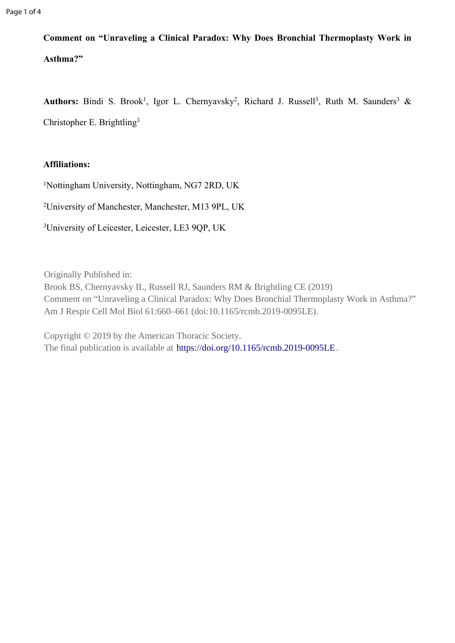**Comment on "Unraveling a Clinical Paradox: Why Does Bronchial Thermoplasty Work in Asthma?"**

Authors: Bindi S. Brook<sup>1</sup>, Igor L. Chernyavsky<sup>2</sup>, Richard J. Russell<sup>3</sup>, Ruth M. Saunders<sup>3</sup> & Christopher E. Brightling<sup>3</sup>

## **Affiliations:**

<sup>1</sup>Nottingham University, Nottingham, NG7 2RD, UK

<sup>2</sup>University of Manchester, Manchester, M13 9PL, UK

<sup>3</sup>University of Leicester, Leicester, LE3 9QP, UK

Originally Published in:

Brook BS, Chernyavsky IL, Russell RJ, Saunders RM & Brightling CE (2019) Comment on "Unraveling a Clinical Paradox: Why Does Bronchial Thermoplasty Work in Asthma?" Am J Respir Cell Mol Biol 61:660–661 (doi:10.1165/rcmb.2019-0095LE).

Copyright © 2019 by the American Thoracic Society. The final publication is available at <https://doi.org/10.1165/rcmb.2019-0095LE>.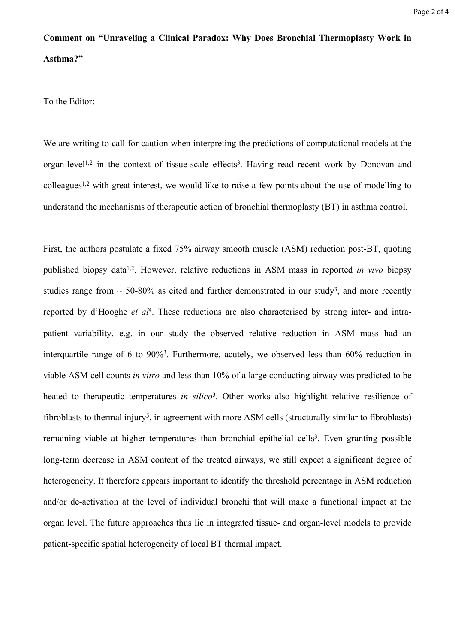## **Comment on "Unraveling a Clinical Paradox: Why Does Bronchial Thermoplasty Work in Asthma?"**

To the Editor:

We are writing to call for caution when interpreting the predictions of computational models at the organ-level<sup>1,2</sup> in the context of tissue-scale effects<sup>3</sup>. Having read recent work by Donovan and colleagues1,2 with great interest, we would like to raise a few points about the use of modelling to understand the mechanisms of therapeutic action of bronchial thermoplasty (BT) in asthma control.

First, the authors postulate a fixed 75% airway smooth muscle (ASM) reduction post-BT, quoting published biopsy data1,2. However, relative reductions in ASM mass in reported *in vivo* biopsy studies range from  $\sim$  50-80% as cited and further demonstrated in our study<sup>3</sup>, and more recently reported by d'Hooghe *et al*<sup>4</sup> . These reductions are also characterised by strong inter- and intrapatient variability, e.g. in our study the observed relative reduction in ASM mass had an interquartile range of 6 to 90%<sup>3</sup>. Furthermore, acutely, we observed less than 60% reduction in viable ASM cell counts *in vitro* and less than 10% of a large conducting airway was predicted to be heated to therapeutic temperatures *in silico*<sup>3</sup>. Other works also highlight relative resilience of fibroblasts to thermal injury<sup>5</sup>, in agreement with more ASM cells (structurally similar to fibroblasts) remaining viable at higher temperatures than bronchial epithelial cells<sup>3</sup>. Even granting possible long-term decrease in ASM content of the treated airways, we still expect a significant degree of heterogeneity. It therefore appears important to identify the threshold percentage in ASM reduction and/or de-activation at the level of individual bronchi that will make a functional impact at the organ level. The future approaches thus lie in integrated tissue- and organ-level models to provide patient-specific spatial heterogeneity of local BT thermal impact.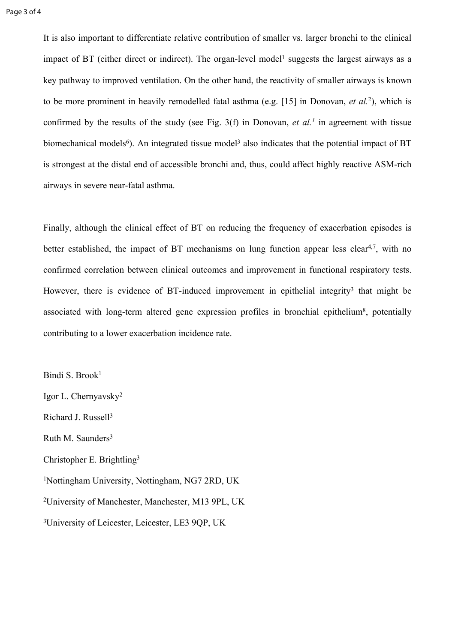It is also important to differentiate relative contribution of smaller vs. larger bronchi to the clinical impact of BT (either direct or indirect). The organ-level model<sup>1</sup> suggests the largest airways as a key pathway to improved ventilation. On the other hand, the reactivity of smaller airways is known to be more prominent in heavily remodelled fatal asthma (e.g. [15] in Donovan, *et al.*<sup>2</sup> ), which is confirmed by the results of the study (see Fig. 3(f) in Donovan, *et al.<sup>1</sup>* in agreement with tissue biomechanical models<sup>6</sup>). An integrated tissue model<sup>3</sup> also indicates that the potential impact of BT is strongest at the distal end of accessible bronchi and, thus, could affect highly reactive ASM-rich airways in severe near-fatal asthma.

Finally, although the clinical effect of BT on reducing the frequency of exacerbation episodes is better established, the impact of BT mechanisms on lung function appear less clear<sup>4,7</sup>, with no confirmed correlation between clinical outcomes and improvement in functional respiratory tests. However, there is evidence of BT-induced improvement in epithelial integrity<sup>3</sup> that might be associated with long-term altered gene expression profiles in bronchial epithelium<sup>8</sup>, potentially contributing to a lower exacerbation incidence rate.

Bindi S. Brook<sup>1</sup> Igor L. Chernyavsky<sup>2</sup> Richard J. Russell<sup>3</sup> Ruth M. Saunders<sup>3</sup> Christopher E. Brightling<sup>3</sup> <sup>1</sup>Nottingham University, Nottingham, NG7 2RD, UK <sup>2</sup>University of Manchester, Manchester, M13 9PL, UK <sup>3</sup>University of Leicester, Leicester, LE3 9QP, UK